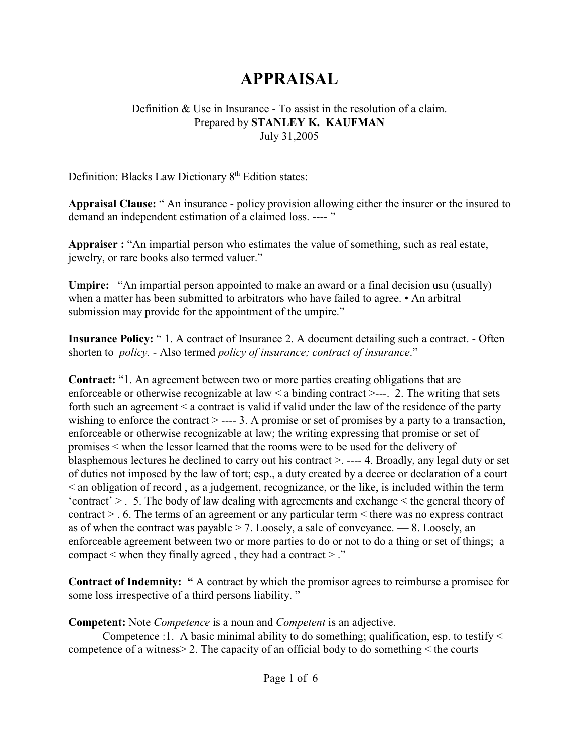# **APPRAISAL**

#### Definition & Use in Insurance - To assist in the resolution of a claim. Prepared by **STANLEY K. KAUFMAN**  July 31,2005

Definition: Blacks Law Dictionary  $8<sup>th</sup>$  Edition states:

**Appraisal Clause:** " An insurance - policy provision allowing either the insurer or the insured to demand an independent estimation of a claimed loss. ---- "

**Appraiser :** "An impartial person who estimates the value of something, such as real estate, jewelry, or rare books also termed valuer."

**Umpire:** "An impartial person appointed to make an award or a final decision usu (usually) when a matter has been submitted to arbitrators who have failed to agree. • An arbitral submission may provide for the appointment of the umpire."

**Insurance Policy:** "1. A contract of Insurance 2. A document detailing such a contract. - Often shorten to *policy.* - Also termed *policy of insurance; contract of insurance*."

**Contract:** "1. An agreement between two or more parties creating obligations that are enforceable or otherwise recognizable at law  $\leq$  a binding contract  $\geq$ ---. 2. The writing that sets forth such an agreement < a contract is valid if valid under the law of the residence of the party wishing to enforce the contract  $\geq$  ---- 3. A promise or set of promises by a party to a transaction, enforceable or otherwise recognizable at law; the writing expressing that promise or set of promises < when the lessor learned that the rooms were to be used for the delivery of blasphemous lectures he declined to carry out his contract >. ---- 4. Broadly, any legal duty or set of duties not imposed by the law of tort; esp., a duty created by a decree or declaration of a court < an obligation of record , as a judgement, recognizance, or the like, is included within the term 'contract'  $>$  . 5. The body of law dealing with agreements and exchange  $\leq$  the general theory of contract > . 6. The terms of an agreement or any particular term < there was no express contract as of when the contract was payable  $>$  7. Loosely, a sale of conveyance.  $-$  8. Loosely, an enforceable agreement between two or more parties to do or not to do a thing or set of things; a compact  $\leq$  when they finally agreed, they had a contract  $\geq$ ."

**Contract of Indemnity:** " A contract by which the promisor agrees to reimburse a promisee for some loss irrespective of a third persons liability. "

**Competent:** Note *Competence* is a noun and *Competent* is an adjective.

Competence :1. A basic minimal ability to do something; qualification, esp. to testify < competence of a witness> 2. The capacity of an official body to do something < the courts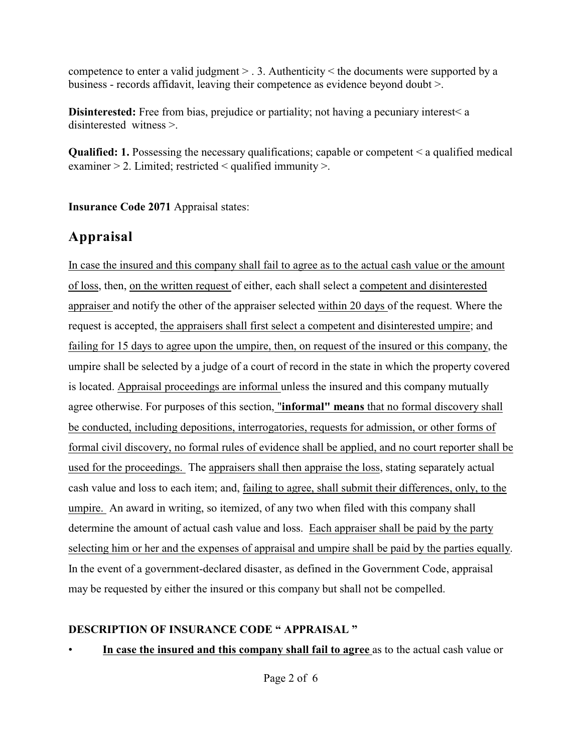competence to enter a valid judgment > . 3. Authenticity < the documents were supported by a business - records affidavit, leaving their competence as evidence beyond doubt >.

**Disinterested:** Free from bias, prejudice or partiality; not having a pecuniary interest a disinterested witness >.

**Qualified: 1.** Possessing the necessary qualifications; capable or competent < a qualified medical examiner > 2. Limited; restricted < qualified immunity >.

**Insurance Code 2071** Appraisal states:

## **Appraisal**

In case the insured and this company shall fail to agree as to the actual cash value or the amount of loss, then, on the written request of either, each shall select a competent and disinterested appraiser and notify the other of the appraiser selected within 20 days of the request. Where the request is accepted, the appraisers shall first select a competent and disinterested umpire; and failing for 15 days to agree upon the umpire, then, on request of the insured or this company, the umpire shall be selected by a judge of a court of record in the state in which the property covered is located. Appraisal proceedings are informal unless the insured and this company mutually agree otherwise. For purposes of this section, "**informal" means** that no formal discovery shall be conducted, including depositions, interrogatories, requests for admission, or other forms of formal civil discovery, no formal rules of evidence shall be applied, and no court reporter shall be used for the proceedings. The appraisers shall then appraise the loss, stating separately actual cash value and loss to each item; and, failing to agree, shall submit their differences, only, to the umpire. An award in writing, so itemized, of any two when filed with this company shall determine the amount of actual cash value and loss. Each appraiser shall be paid by the party selecting him or her and the expenses of appraisal and umpire shall be paid by the parties equally. In the event of a government-declared disaster, as defined in the Government Code, appraisal may be requested by either the insured or this company but shall not be compelled.

### **DESCRIPTION OF INSURANCE CODE " APPRAISAL "**

• **In case the insured and this company shall fail to agree** as to the actual cash value or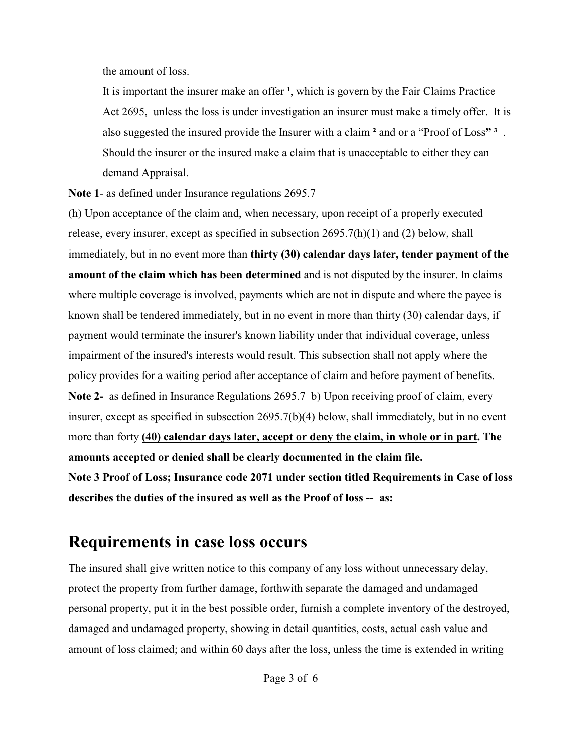the amount of loss.

It is important the insurer make an offer <sup>1</sup>, which is govern by the Fair Claims Practice Act 2695, unless the loss is under investigation an insurer must make a timely offer. It is also suggested the insured provide the Insurer with a claim **²** and or a "Proof of Loss**" ³** . Should the insurer or the insured make a claim that is unacceptable to either they can demand Appraisal.

**Note 1**- as defined under Insurance regulations 2695.7

(h) Upon acceptance of the claim and, when necessary, upon receipt of a properly executed release, every insurer, except as specified in subsection  $2695.7(h)(1)$  and  $(2)$  below, shall immediately, but in no event more than **thirty (30) calendar days later, tender payment of the amount of the claim which has been determined** and is not disputed by the insurer. In claims where multiple coverage is involved, payments which are not in dispute and where the payee is known shall be tendered immediately, but in no event in more than thirty (30) calendar days, if payment would terminate the insurer's known liability under that individual coverage, unless impairment of the insured's interests would result. This subsection shall not apply where the policy provides for a waiting period after acceptance of claim and before payment of benefits. **Note 2-** as defined in Insurance Regulations 2695.7 b) Upon receiving proof of claim, every insurer, except as specified in subsection 2695.7(b)(4) below, shall immediately, but in no event more than forty **(40) calendar days later, accept or deny the claim, in whole or in part. The amounts accepted or denied shall be clearly documented in the claim file. Note 3 Proof of Loss; Insurance code 2071 under section titled Requirements in Case of loss describes the duties of the insured as well as the Proof of loss -- as:**

# **Requirements in case loss occurs**

The insured shall give written notice to this company of any loss without unnecessary delay, protect the property from further damage, forthwith separate the damaged and undamaged personal property, put it in the best possible order, furnish a complete inventory of the destroyed, damaged and undamaged property, showing in detail quantities, costs, actual cash value and amount of loss claimed; and within 60 days after the loss, unless the time is extended in writing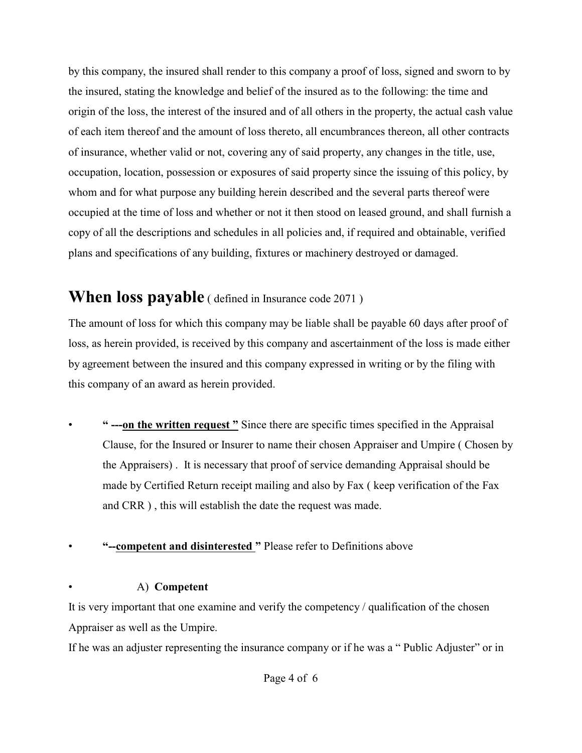by this company, the insured shall render to this company a proof of loss, signed and sworn to by the insured, stating the knowledge and belief of the insured as to the following: the time and origin of the loss, the interest of the insured and of all others in the property, the actual cash value of each item thereof and the amount of loss thereto, all encumbrances thereon, all other contracts of insurance, whether valid or not, covering any of said property, any changes in the title, use, occupation, location, possession or exposures of said property since the issuing of this policy, by whom and for what purpose any building herein described and the several parts thereof were occupied at the time of loss and whether or not it then stood on leased ground, and shall furnish a copy of all the descriptions and schedules in all policies and, if required and obtainable, verified plans and specifications of any building, fixtures or machinery destroyed or damaged.

## **When loss payable** ( defined in Insurance code 2071 )

The amount of loss for which this company may be liable shall be payable 60 days after proof of loss, as herein provided, is received by this company and ascertainment of the loss is made either by agreement between the insured and this company expressed in writing or by the filing with this company of an award as herein provided.

• **" ---on the written request "** Since there are specific times specified in the Appraisal Clause, for the Insured or Insurer to name their chosen Appraiser and Umpire ( Chosen by the Appraisers) . It is necessary that proof of service demanding Appraisal should be made by Certified Return receipt mailing and also by Fax ( keep verification of the Fax and CRR ) , this will establish the date the request was made.

### • **"--competent and disinterested "** Please refer to Definitions above

#### • A) **Competent**

It is very important that one examine and verify the competency / qualification of the chosen Appraiser as well as the Umpire.

If he was an adjuster representing the insurance company or if he was a " Public Adjuster" or in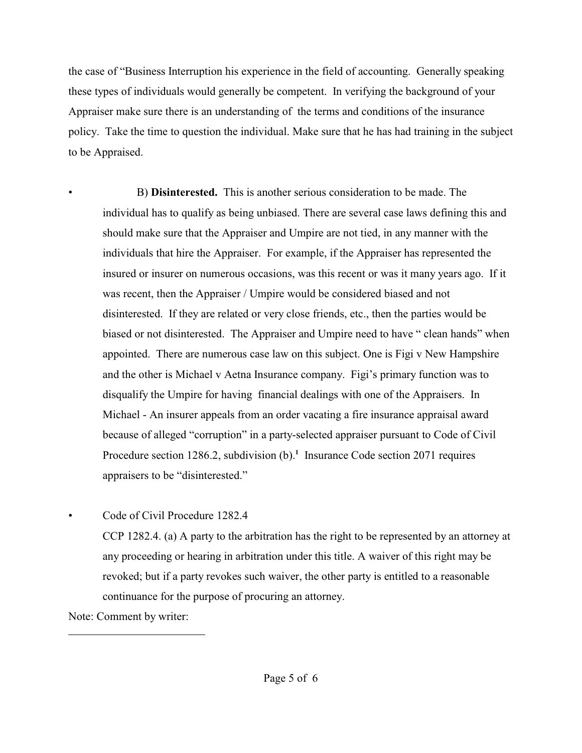the case of "Business Interruption his experience in the field of accounting. Generally speaking these types of individuals would generally be competent. In verifying the background of your Appraiser make sure there is an understanding of the terms and conditions of the insurance policy. Take the time to question the individual. Make sure that he has had training in the subject to be Appraised.

• B) **Disinterested.** This is another serious consideration to be made. The individual has to qualify as being unbiased. There are several case laws defining this and should make sure that the Appraiser and Umpire are not tied, in any manner with the individuals that hire the Appraiser. For example, if the Appraiser has represented the insured or insurer on numerous occasions, was this recent or was it many years ago. If it was recent, then the Appraiser / Umpire would be considered biased and not disinterested. If they are related or very close friends, etc., then the parties would be biased or not disinterested. The Appraiser and Umpire need to have " clean hands" when appointed. There are numerous case law on this subject. One is Figi v New Hampshire and the other is Michael v Aetna Insurance company. Figi's primary function was to disqualify the Umpire for having financial dealings with one of the Appraisers. In Michael - An insurer appeals from an order vacating a fire insurance appraisal award because of alleged "corruption" in a party-selected appraiser pursuant to Code of Civil Procedure section 1286.2, subdivision  $(b)$ .<sup>1</sup> Insurance Code section 2071 requires appraisers to be "disinterested."

• Code of Civil Procedure 1282.4

CCP 1282.4. (a) A party to the arbitration has the right to be represented by an attorney at any proceeding or hearing in arbitration under this title. A waiver of this right may be revoked; but if a party revokes such waiver, the other party is entitled to a reasonable continuance for the purpose of procuring an attorney.

Note: Comment by writer: